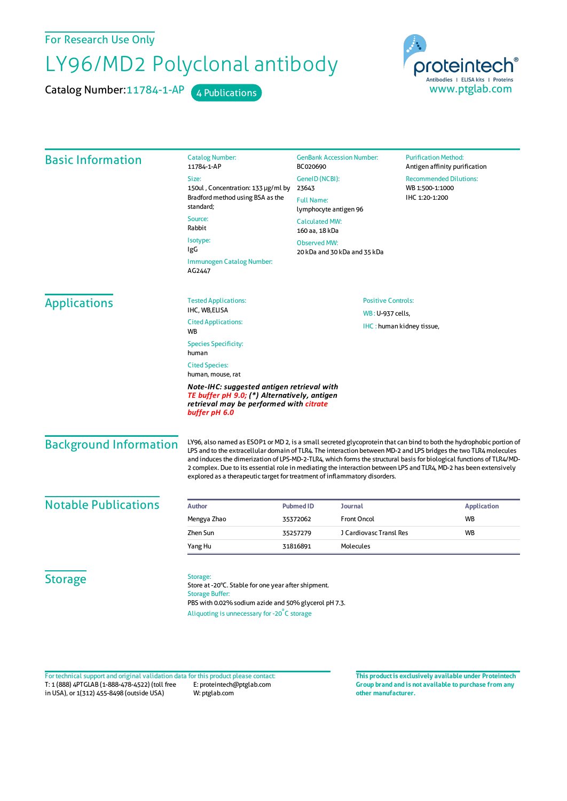For Research Use Only

## LY96/MD2 Polyclonal antibody

Catalog Number: 11784-1-AP 4 Publications



| <b>Basic Information</b>    | <b>Catalog Number:</b><br>11784-1-AP                                                                                                                                                             | <b>GenBank Accession Number:</b><br>BC020690                                                                                                                                                                                                                                                                                                                                                                                                                                                                                                                       | <b>Purification Method:</b><br>Antigen affinity purification |                 |
|-----------------------------|--------------------------------------------------------------------------------------------------------------------------------------------------------------------------------------------------|--------------------------------------------------------------------------------------------------------------------------------------------------------------------------------------------------------------------------------------------------------------------------------------------------------------------------------------------------------------------------------------------------------------------------------------------------------------------------------------------------------------------------------------------------------------------|--------------------------------------------------------------|-----------------|
|                             | Size:                                                                                                                                                                                            | GeneID (NCBI):                                                                                                                                                                                                                                                                                                                                                                                                                                                                                                                                                     | <b>Recommended Dilutions:</b>                                | WB 1:500-1:1000 |
|                             | 150ul, Concentration: 133 µg/ml by<br>Bradford method using BSA as the<br>standard;                                                                                                              | 23643                                                                                                                                                                                                                                                                                                                                                                                                                                                                                                                                                              |                                                              |                 |
|                             |                                                                                                                                                                                                  | <b>Full Name:</b><br>lymphocyte antigen 96                                                                                                                                                                                                                                                                                                                                                                                                                                                                                                                         | IHC 1:20-1:200                                               |                 |
|                             | Source:<br>Rabbit                                                                                                                                                                                | <b>Calculated MW:</b><br>160 aa, 18 kDa                                                                                                                                                                                                                                                                                                                                                                                                                                                                                                                            |                                                              |                 |
|                             | Isotype:<br>IgG                                                                                                                                                                                  | <b>Observed MW:</b><br>20 kDa and 30 kDa and 35 kDa                                                                                                                                                                                                                                                                                                                                                                                                                                                                                                                |                                                              |                 |
|                             | Immunogen Catalog Number:<br>AG2447                                                                                                                                                              |                                                                                                                                                                                                                                                                                                                                                                                                                                                                                                                                                                    |                                                              |                 |
| <b>Applications</b>         | <b>Tested Applications:</b>                                                                                                                                                                      | <b>Positive Controls:</b>                                                                                                                                                                                                                                                                                                                                                                                                                                                                                                                                          |                                                              |                 |
|                             | IHC, WB,ELISA                                                                                                                                                                                    |                                                                                                                                                                                                                                                                                                                                                                                                                                                                                                                                                                    | WB: U-937 cells,                                             |                 |
|                             | <b>Cited Applications:</b><br><b>WB</b>                                                                                                                                                          | IHC: human kidney tissue,                                                                                                                                                                                                                                                                                                                                                                                                                                                                                                                                          |                                                              |                 |
|                             | <b>Species Specificity:</b><br>human<br><b>Cited Species:</b><br>human, mouse, rat                                                                                                               |                                                                                                                                                                                                                                                                                                                                                                                                                                                                                                                                                                    |                                                              |                 |
|                             |                                                                                                                                                                                                  |                                                                                                                                                                                                                                                                                                                                                                                                                                                                                                                                                                    |                                                              |                 |
|                             | <b>Background Information</b>                                                                                                                                                                    | LY96, also named as ESOP1 or MD 2, is a small secreted glycoprotein that can bind to both the hydrophobic portion of<br>LPS and to the extracellular domain of TLR4. The interaction between MD-2 and LPS bridges the two TLR4 molecules<br>and induces the dimerization of LPS-MD-2-TLR4, which forms the structural basis for biological functions of TLR4/MD-<br>2 complex. Due to its essential role in mediating the interaction between LPS and TLR4, MD-2 has been extensively<br>explored as a therapeutic target for treatment of inflammatory disorders. |                                                              |                 |
| <b>Notable Publications</b> | <b>Author</b>                                                                                                                                                                                    | <b>Pubmed ID</b><br><b>Journal</b>                                                                                                                                                                                                                                                                                                                                                                                                                                                                                                                                 | <b>Application</b>                                           |                 |
|                             | Mengya Zhao                                                                                                                                                                                      | <b>Front Oncol</b><br>35372062                                                                                                                                                                                                                                                                                                                                                                                                                                                                                                                                     | <b>WB</b>                                                    |                 |
|                             | Zhen Sun                                                                                                                                                                                         | J Cardiovasc Transl Res<br>35257279                                                                                                                                                                                                                                                                                                                                                                                                                                                                                                                                | WB                                                           |                 |
|                             | Yang Hu                                                                                                                                                                                          | 31816891<br>Molecules                                                                                                                                                                                                                                                                                                                                                                                                                                                                                                                                              |                                                              |                 |
| <b>Storage</b>              | Storage:<br>Store at -20°C. Stable for one year after shipment.<br><b>Storage Buffer:</b><br>PBS with 0.02% sodium azide and 50% glycerol pH 7.3.<br>Aliquoting is unnecessary for -20°C storage |                                                                                                                                                                                                                                                                                                                                                                                                                                                                                                                                                                    |                                                              |                 |

T: 1 (888) 4PTGLAB (1-888-478-4522) (toll free in USA), or 1(312) 455-8498 (outside USA) E: proteintech@ptglab.com W: ptglab.com Fortechnical support and original validation data forthis product please contact: **This productis exclusively available under Proteintech**

**Group brand and is not available to purchase from any other manufacturer.**